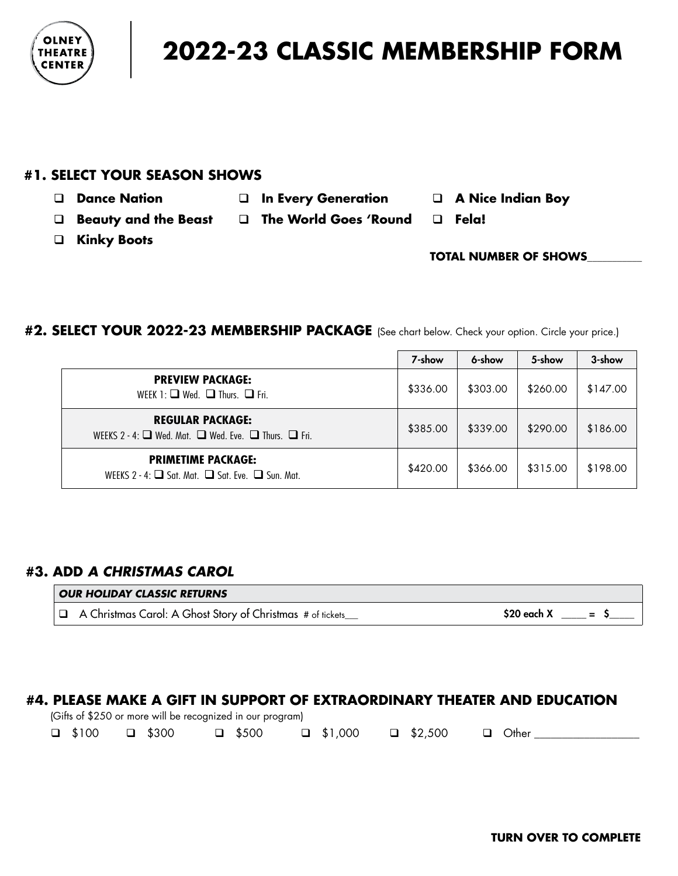

# **2022-23 CLASSIC MEMBERSHIP FORM**

## **#1. SELECT YOUR SEASON SHOWS**

- q **Dance Nation** q **In Every Generation** q **A Nice Indian Boy**
	-
- 
- q **Beauty and the Beast** q **The World Goes 'Round** q **Fela!**
- q **Kinky Boots**

# **TOTAL NUMBER OF SHOWS**\_\_\_\_\_\_\_\_\_\_\_

#### **#2. SELECT YOUR 2022-23 MEMBERSHIP PACKAGE** (See chart below. Check your option. Circle your price.)

|                                                                                                     | 7-show   | 6-show   | 5-show   | 3-show   |
|-----------------------------------------------------------------------------------------------------|----------|----------|----------|----------|
| <b>PREVIEW PACKAGE:</b><br>WEEK 1: $\Box$ Wed. $\Box$ Thurs. $\Box$ Fri.                            | \$336.00 | \$303.00 | \$260.00 | \$147.00 |
| <b>REGULAR PACKAGE:</b><br>WEEKS 2 - 4: $\Box$ Wed. Mat. $\Box$ Wed. Eve. $\Box$ Thurs. $\Box$ Fri. | \$385.00 | \$339.00 | \$290.00 | \$186.00 |
| <b>PRIMETIME PACKAGE:</b><br>WEEKS 2 - 4: $\Box$ Sat Mat $\Box$ Sat Eve. $\Box$ Sun Mat             | \$420.00 | \$366.00 | \$315.00 | \$198.00 |

## **#3. ADD** *A CHRISTMAS CAROL*

# *OUR HOLIDAY CLASSIC RETURNS*  $\Box$  A Christmas Carol: A Ghost Story of Christmas # of tickets\_\_\_ \$20 each X  $\Box$  = \$

#### **#4. PLEASE MAKE A GIFT IN SUPPORT OF EXTRAORDINARY THEATER AND EDUCATION**

(Gifts of \$250 or more will be recognized in our program)

|  |  |  | $\Box$ \$100 $\Box$ \$300 $\Box$ \$500 $\Box$ \$1,000 $\Box$ \$2,500 $\Box$ Other |  |  |  |
|--|--|--|-----------------------------------------------------------------------------------|--|--|--|
|--|--|--|-----------------------------------------------------------------------------------|--|--|--|